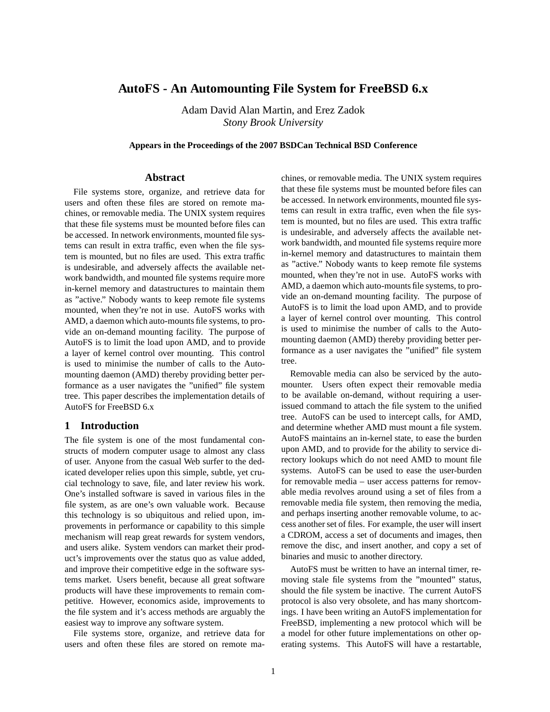# **AutoFS - An Automounting File System for FreeBSD 6.x**

Adam David Alan Martin, and Erez Zadok *Stony Brook University*

**Appears in the Proceedings of the 2007 BSDCan Technical BSD Conference**

#### **Abstract**

File systems store, organize, and retrieve data for users and often these files are stored on remote machines, or removable media. The UNIX system requires that these file systems must be mounted before files can be accessed. In network environments, mounted file systems can result in extra traffic, even when the file system is mounted, but no files are used. This extra traffic is undesirable, and adversely affects the available network bandwidth, and mounted file systems require more in-kernel memory and datastructures to maintain them as "active." Nobody wants to keep remote file systems mounted, when they're not in use. AutoFS works with AMD, a daemon which auto-mounts file systems, to provide an on-demand mounting facility. The purpose of AutoFS is to limit the load upon AMD, and to provide a layer of kernel control over mounting. This control is used to minimise the number of calls to the Automounting daemon (AMD) thereby providing better performance as a user navigates the "unified" file system tree. This paper describes the implementation details of AutoFS for FreeBSD 6.x

# **1 Introduction**

The file system is one of the most fundamental constructs of modern computer usage to almost any class of user. Anyone from the casual Web surfer to the dedicated developer relies upon this simple, subtle, yet crucial technology to save, file, and later review his work. One's installed software is saved in various files in the file system, as are one's own valuable work. Because this technology is so ubiquitous and relied upon, improvements in performance or capability to this simple mechanism will reap great rewards for system vendors, and users alike. System vendors can market their product's improvements over the status quo as value added, and improve their competitive edge in the software systems market. Users benefit, because all great software products will have these improvements to remain competitive. However, economics aside, improvements to the file system and it's access methods are arguably the easiest way to improve any software system.

File systems store, organize, and retrieve data for users and often these files are stored on remote machines, or removable media. The UNIX system requires that these file systems must be mounted before files can be accessed. In network environments, mounted file systems can result in extra traffic, even when the file system is mounted, but no files are used. This extra traffic is undesirable, and adversely affects the available network bandwidth, and mounted file systems require more in-kernel memory and datastructures to maintain them as "active." Nobody wants to keep remote file systems mounted, when they're not in use. AutoFS works with AMD, a daemon which auto-mounts file systems, to provide an on-demand mounting facility. The purpose of AutoFS is to limit the load upon AMD, and to provide a layer of kernel control over mounting. This control is used to minimise the number of calls to the Automounting daemon (AMD) thereby providing better performance as a user navigates the "unified" file system tree.

Removable media can also be serviced by the automounter. Users often expect their removable media to be available on-demand, without requiring a userissued command to attach the file system to the unified tree. AutoFS can be used to intercept calls, for AMD, and determine whether AMD must mount a file system. AutoFS maintains an in-kernel state, to ease the burden upon AMD, and to provide for the ability to service directory lookups which do not need AMD to mount file systems. AutoFS can be used to ease the user-burden for removable media – user access patterns for removable media revolves around using a set of files from a removable media file system, then removing the media, and perhaps inserting another removable volume, to access another set of files. For example, the user will insert a CDROM, access a set of documents and images, then remove the disc, and insert another, and copy a set of binaries and music to another directory.

AutoFS must be written to have an internal timer, removing stale file systems from the "mounted" status, should the file system be inactive. The current AutoFS protocol is also very obsolete, and has many shortcomings. I have been writing an AutoFS implementation for FreeBSD, implementing a new protocol which will be a model for other future implementations on other operating systems. This AutoFS will have a restartable,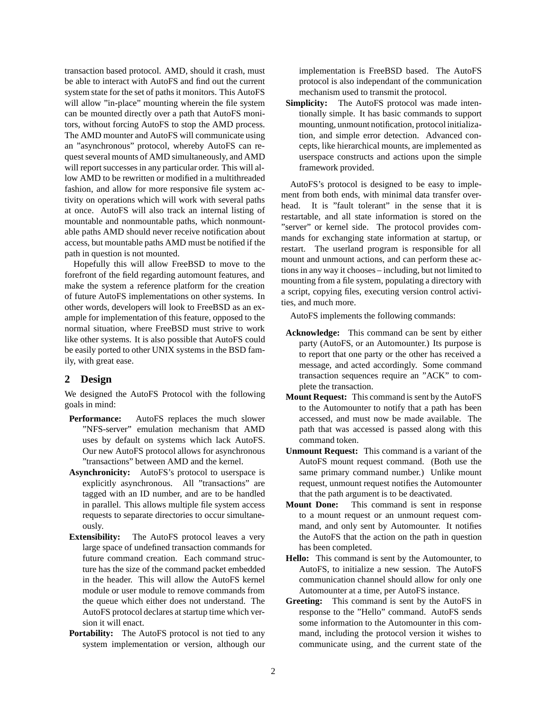transaction based protocol. AMD, should it crash, must be able to interact with AutoFS and find out the current system state for the set of paths it monitors. This AutoFS will allow "in-place" mounting wherein the file system can be mounted directly over a path that AutoFS monitors, without forcing AutoFS to stop the AMD process. The AMD mounter and AutoFS will communicate using an "asynchronous" protocol, whereby AutoFS can request several mounts of AMD simultaneously, and AMD will report successes in any particular order. This will allow AMD to be rewritten or modified in a multithreaded fashion, and allow for more responsive file system activity on operations which will work with several paths at once. AutoFS will also track an internal listing of mountable and nonmountable paths, which nonmountable paths AMD should never receive notification about access, but mountable paths AMD must be notified if the path in question is not mounted.

Hopefully this will allow FreeBSD to move to the forefront of the field regarding automount features, and make the system a reference platform for the creation of future AutoFS implementations on other systems. In other words, developers will look to FreeBSD as an example for implementation of this feature, opposed to the normal situation, where FreeBSD must strive to work like other systems. It is also possible that AutoFS could be easily ported to other UNIX systems in the BSD family, with great ease.

### **2 Design**

We designed the AutoFS Protocol with the following goals in mind:

- **Performance:** AutoFS replaces the much slower "NFS-server" emulation mechanism that AMD uses by default on systems which lack AutoFS. Our new AutoFS protocol allows for asynchronous "transactions" between AMD and the kernel.
- **Asynchronicity:** AutoFS's protocol to userspace is explicitly asynchronous. All "transactions" are tagged with an ID number, and are to be handled in parallel. This allows multiple file system access requests to separate directories to occur simultaneously.
- **Extensibility:** The AutoFS protocol leaves a very large space of undefined transaction commands for future command creation. Each command structure has the size of the command packet embedded in the header. This will allow the AutoFS kernel module or user module to remove commands from the queue which either does not understand. The AutoFS protocol declares at startup time which version it will enact.
- **Portability:** The AutoFS protocol is not tied to any system implementation or version, although our

implementation is FreeBSD based. The AutoFS protocol is also independant of the communication mechanism used to transmit the protocol.

**Simplicity:** The AutoFS protocol was made intentionally simple. It has basic commands to support mounting, unmount notification, protocol initialization, and simple error detection. Advanced concepts, like hierarchical mounts, are implemented as userspace constructs and actions upon the simple framework provided.

AutoFS's protocol is designed to be easy to implement from both ends, with minimal data transfer overhead. It is "fault tolerant" in the sense that it is restartable, and all state information is stored on the "server" or kernel side. The protocol provides commands for exchanging state information at startup, or restart. The userland program is responsible for all mount and unmount actions, and can perform these actions in any way it chooses – including, but not limited to mounting from a file system, populating a directory with a script, copying files, executing version control activities, and much more.

AutoFS implements the following commands:

- **Acknowledge:** This command can be sent by either party (AutoFS, or an Automounter.) Its purpose is to report that one party or the other has received a message, and acted accordingly. Some command transaction sequences require an "ACK" to complete the transaction.
- **Mount Request:** This command is sent by the AutoFS to the Automounter to notify that a path has been accessed, and must now be made available. The path that was accessed is passed along with this command token.
- **Unmount Request:** This command is a variant of the AutoFS mount request command. (Both use the same primary command number.) Unlike mount request, unmount request notifies the Automounter that the path argument is to be deactivated.
- **Mount Done:** This command is sent in response to a mount request or an unmount request command, and only sent by Automounter. It notifies the AutoFS that the action on the path in question has been completed.
- **Hello:** This command is sent by the Automounter, to AutoFS, to initialize a new session. The AutoFS communication channel should allow for only one Automounter at a time, per AutoFS instance.
- **Greeting:** This command is sent by the AutoFS in response to the "Hello" command. AutoFS sends some information to the Automounter in this command, including the protocol version it wishes to communicate using, and the current state of the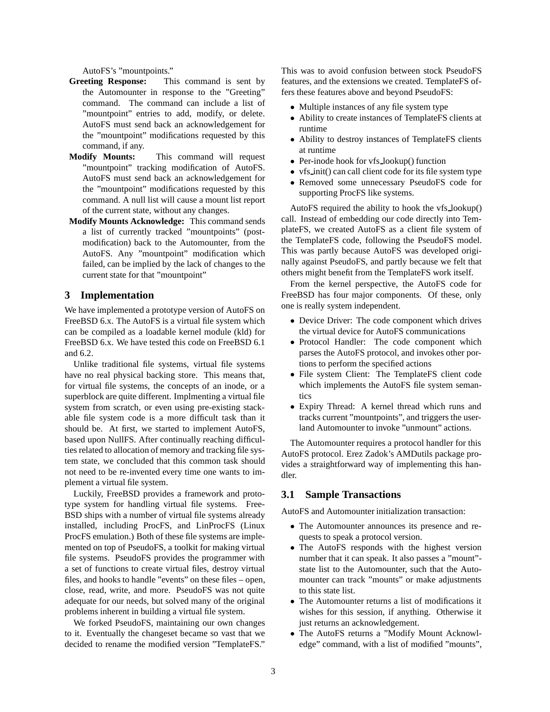AutoFS's "mountpoints."

- **Greeting Response:** This command is sent by the Automounter in response to the "Greeting" command. The command can include a list of "mountpoint" entries to add, modify, or delete. AutoFS must send back an acknowledgement for the "mountpoint" modifications requested by this command, if any.
- **Modify Mounts:** This command will request "mountpoint" tracking modification of AutoFS. AutoFS must send back an acknowledgement for the "mountpoint" modifications requested by this command. A null list will cause a mount list report of the current state, without any changes.
- **Modify Mounts Acknowledge:** This command sends a list of currently tracked "mountpoints" (postmodification) back to the Automounter, from the AutoFS. Any "mountpoint" modification which failed, can be implied by the lack of changes to the current state for that "mountpoint"

#### **3 Implementation**

We have implemented a prototype version of AutoFS on FreeBSD 6.x. The AutoFS is a virtual file system which can be compiled as a loadable kernel module (kld) for FreeBSD 6.x. We have tested this code on FreeBSD 6.1 and  $6.2$ 

Unlike traditional file systems, virtual file systems have no real physical backing store. This means that, for virtual file systems, the concepts of an inode, or a superblock are quite different. Implmenting a virtual file system from scratch, or even using pre-existing stackable file system code is a more difficult task than it should be. At first, we started to implement AutoFS, based upon NullFS. After continually reaching difficulties related to allocation of memory and tracking file system state, we concluded that this common task should not need to be re-invented every time one wants to implement a virtual file system.

Luckily, FreeBSD provides a framework and prototype system for handling virtual file systems. Free-BSD ships with a number of virtual file systems already installed, including ProcFS, and LinProcFS (Linux ProcFS emulation.) Both of these file systems are implemented on top of PseudoFS, a toolkit for making virtual file systems. PseudoFS provides the programmer with a set of functions to create virtual files, destroy virtual files, and hooks to handle "events" on these files – open, close, read, write, and more. PseudoFS was not quite adequate for our needs, but solved many of the original problems inherent in building a virtual file system.

We forked PseudoFS, maintaining our own changes to it. Eventually the changeset became so vast that we decided to rename the modified version "TemplateFS."

This was to avoid confusion between stock PseudoFS features, and the extensions we created. TemplateFS offers these features above and beyond PseudoFS:

- Multiple instances of any file system type
- Ability to create instances of TemplateFS clients at runtime
- Ability to destroy instances of TemplateFS clients at runtime
- Per-inode hook for vfs lookup() function
- vfs init() can call client code for its file system type
- Removed some unnecessary PseudoFS code for supporting ProcFS like systems.

AutoFS required the ability to hook the vfs lookup() call. Instead of embedding our code directly into TemplateFS, we created AutoFS as a client file system of the TemplateFS code, following the PseudoFS model. This was partly because AutoFS was developed originally against PseudoFS, and partly because we felt that others might benefit from the TemplateFS work itself.

From the kernel perspective, the AutoFS code for FreeBSD has four major components. Of these, only one is really system independent.

- Device Driver: The code component which drives the virtual device for AutoFS communications
- Protocol Handler: The code component which parses the AutoFS protocol, and invokes other portions to perform the specified actions
- File system Client: The TemplateFS client code which implements the AutoFS file system semantics
- Expiry Thread: A kernel thread which runs and tracks current "mountpoints", and triggers the userland Automounter to invoke "unmount" actions.

The Automounter requires a protocol handler for this AutoFS protocol. Erez Zadok's AMDutils package provides a straightforward way of implementing this handler.

#### **3.1 Sample Transactions**

AutoFS and Automounter initialization transaction:

- The Automounter announces its presence and requests to speak a protocol version.
- The AutoFS responds with the highest version number that it can speak. It also passes a "mount" state list to the Automounter, such that the Automounter can track "mounts" or make adjustments to this state list.
- The Automounter returns a list of modifications it wishes for this session, if anything. Otherwise it just returns an acknowledgement.
- The AutoFS returns a "Modify Mount Acknowledge" command, with a list of modified "mounts",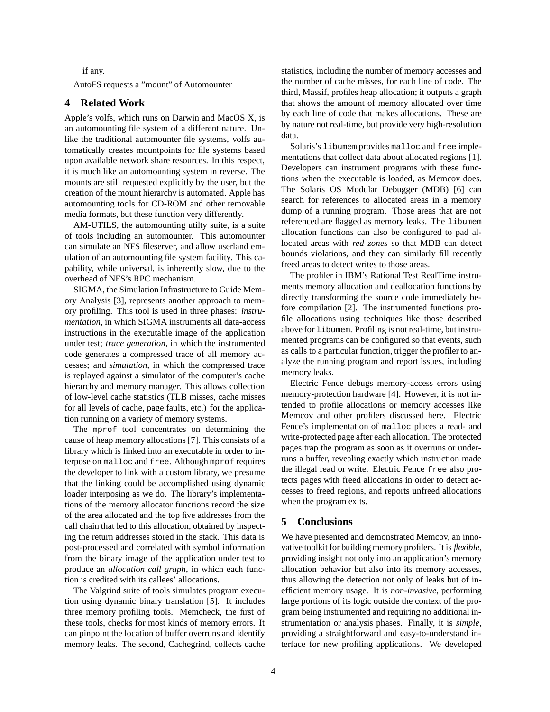if any.

AutoFS requests a "mount" of Automounter

# **4 Related Work**

Apple's volfs, which runs on Darwin and MacOS X, is an automounting file system of a different nature. Unlike the traditional automounter file systems, volfs automatically creates mountpoints for file systems based upon available network share resources. In this respect, it is much like an automounting system in reverse. The mounts are still requested explicitly by the user, but the creation of the mount hierarchy is automated. Apple has automounting tools for CD-ROM and other removable media formats, but these function very differently.

AM-UTILS, the automounting utilty suite, is a suite of tools including an automounter. This automounter can simulate an NFS fileserver, and allow userland emulation of an automounting file system facility. This capability, while universal, is inherently slow, due to the overhead of NFS's RPC mechanism.

SIGMA, the Simulation Infrastructure to Guide Memory Analysis [3], represents another approach to memory profiling. This tool is used in three phases: *instrumentation*, in which SIGMA instruments all data-access instructions in the executable image of the application under test; *trace generation*, in which the instrumented code generates a compressed trace of all memory accesses; and *simulation*, in which the compressed trace is replayed against a simulator of the computer's cache hierarchy and memory manager. This allows collection of low-level cache statistics (TLB misses, cache misses for all levels of cache, page faults, etc.) for the application running on a variety of memory systems.

The mprof tool concentrates on determining the cause of heap memory allocations [7]. This consists of a library which is linked into an executable in order to interpose on malloc and free. Although mprof requires the developer to link with a custom library, we presume that the linking could be accomplished using dynamic loader interposing as we do. The library's implementations of the memory allocator functions record the size of the area allocated and the top five addresses from the call chain that led to this allocation, obtained by inspecting the return addresses stored in the stack. This data is post-processed and correlated with symbol information from the binary image of the application under test to produce an *allocation call graph*, in which each function is credited with its callees' allocations.

The Valgrind suite of tools simulates program execution using dynamic binary translation [5]. It includes three memory profiling tools. Memcheck, the first of these tools, checks for most kinds of memory errors. It can pinpoint the location of buffer overruns and identify memory leaks. The second, Cachegrind, collects cache statistics, including the number of memory accesses and the number of cache misses, for each line of code. The third, Massif, profiles heap allocation; it outputs a graph that shows the amount of memory allocated over time by each line of code that makes allocations. These are by nature not real-time, but provide very high-resolution data.

Solaris's libumem provides malloc and free implementations that collect data about allocated regions [1]. Developers can instrument programs with these functions when the executable is loaded, as Memcov does. The Solaris OS Modular Debugger (MDB) [6] can search for references to allocated areas in a memory dump of a running program. Those areas that are not referenced are flagged as memory leaks. The libumem allocation functions can also be configured to pad allocated areas with *red zones* so that MDB can detect bounds violations, and they can similarly fill recently freed areas to detect writes to those areas.

The profiler in IBM's Rational Test RealTime instruments memory allocation and deallocation functions by directly transforming the source code immediately before compilation [2]. The instrumented functions profile allocations using techniques like those described above for libumem. Profiling is not real-time, but instrumented programs can be configured so that events, such as calls to a particular function, trigger the profiler to analyze the running program and report issues, including memory leaks.

Electric Fence debugs memory-access errors using memory-protection hardware [4]. However, it is not intended to profile allocations or memory accesses like Memcov and other profilers discussed here. Electric Fence's implementation of malloc places a read- and write-protected page after each allocation. The protected pages trap the program as soon as it overruns or underruns a buffer, revealing exactly which instruction made the illegal read or write. Electric Fence free also protects pages with freed allocations in order to detect accesses to freed regions, and reports unfreed allocations when the program exits.

## **5 Conclusions**

We have presented and demonstrated Memcov, an innovative toolkit for building memory profilers. It is *flexible*, providing insight not only into an application's memory allocation behavior but also into its memory accesses, thus allowing the detection not only of leaks but of inefficient memory usage. It is *non-invasive*, performing large portions of its logic outside the context of the program being instrumented and requiring no additional instrumentation or analysis phases. Finally, it is *simple*, providing a straightforward and easy-to-understand interface for new profiling applications. We developed